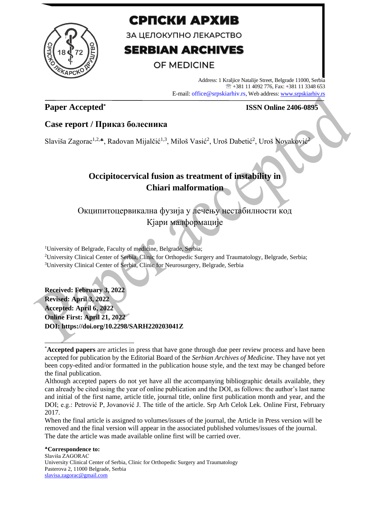

# СРПСКИ АРХИВ

ЗА ЦЕЛОКУПНО ЛЕКАРСТВО

# **SERBIAN ARCHIVES**

## **OF MEDICINE**

Address: 1 Kraljice Natalije Street, Belgrade 11000, Serbia +381 11 4092 776, Fax: +381 11 3348 653 E-mail: office@srpskiarhiv.rs, Web address[: www.srpskiarhiv.rs](http://www.srpskiarhiv.rs/)

### **Paper Accepted\***

### **ISSN Online 2406-0895**

### **Case report / Приказ болесника**

Slaviša Zagorac<sup>1,2,</sup>\*, Radovan Mijalčić<sup>1,3</sup>, Miloš Vasić<sup>2</sup>, Uroš Dabetić<sup>2</sup>, Uroš Novaković<sup>2</sup>

## **Occipitocervical fusion as treatment of instability in Chiari malformation**

# Окципитоцервикална фузија у лечењу нестабилности код Кјари малформације

<sup>1</sup>University of Belgrade, Faculty of medicine, Belgrade, Serbia; <sup>2</sup>University Clinical Center of Serbia, Clinic for Orthopedic Surgery and Traumatology, Belgrade, Serbia; <sup>3</sup>University Clinical Center of Serbia, Clinic for Neurosurgery, Belgrade, Serbia

**Received: February 3, 2022 Revised: April 3, 2022 Accepted: April 6, 2022 Online First: April 21, 2022 DOI: https://doi.org/10.2298/SARH220203041Z**

**Correspondence to:** Slaviša ZAGORAC University Clinical Center of Serbia, Clinic for Orthopedic Surgery and Traumatology Pasterova 2, 11000 Belgrade, Serbia [slavisa.zagorac@gmail.com](mailto:slavisa.zagorac@gmail.com)

<sup>\*</sup>**Accepted papers** are articles in press that have gone through due peer review process and have been accepted for publication by the Editorial Board of the *Serbian Archives of Medicine*. They have not yet been copy-edited and/or formatted in the publication house style, and the text may be changed before the final publication.

Although accepted papers do not yet have all the accompanying bibliographic details available, they can already be cited using the year of online publication and the DOI, as follows: the author's last name and initial of the first name, article title, journal title, online first publication month and year, and the DOI; e.g.: Petrović P, Jovanović J. The title of the article. Srp Arh Celok Lek. Online First, February 2017.

When the final article is assigned to volumes/issues of the journal, the Article in Press version will be removed and the final version will appear in the associated published volumes/issues of the journal. The date the article was made available online first will be carried over.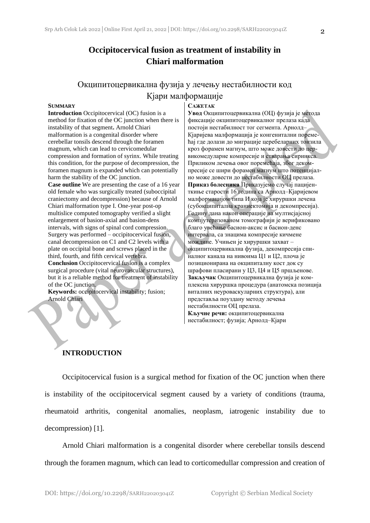### **Occipitocervical fusion as treatment of instability in Chiari malformation**

### Окципитоцервикална фузија у лечењу нестабилности код Кјари малформације

#### **SUMMARY**

**Introduction** Occipitocervical (OC) fusion is a method for fixation of the OC junction when there is instability of that segment**.** Arnold Chiari malformation is a congenital disorder where cerebellar tonsils descend through the foramen magnum, which can lead to cervicomedular compression and formation of syrinx. While treating this condition, for the purpose of decompression, the foramen magnum is expanded which can potentially harm the stability of the OC junction.

**Case outline** We are presenting the case of a 16 year old female who was surgically treated (suboccipital craniectomy and decompression) because of Arnold Chiari malformation type I. One-year post-op multislice computed tomography verified a slight enlargement of basion-axial and basion-dens intervals, with signs of spinal cord compression. Surgery was performed – occipitocervical fusion, canal decompression on C1 and C2 levels with a plate on occipital bone and screws placed in the third, fourth, and fifth cervical vertebra. **Conclusion** Occipitocervical fusion is a complex surgical procedure (vital neurovascular structures),

but it is a reliable method for treatment of instability of the OC junction.

**Keywords:** occipitocervical instability; fusion; Arnold Chiari

#### **САЖЕТАК**

**Увод** Окципитоцервикална (ОЦ) фузија је метода фиксације окципитоцервикалног прелаза када постоји нестабилност тог сегмента. Арнолд– Кјаријева малформација је конгенитални поремећај где долази до миграције церебеларних тонзила кроз форамен магнум, што може довести до цервикомедуларне компресије и стварања сиринкса. Приликом лечења овог поремећаја, због декомпресије се шири форамен магнум што потенцијално може довести до нестабилности ОЦ прелаза. **Приказ болесника** Приказујемо случај пацијенткиње старости 16 година са Арнолд–Кјаријевом малформацијом типа И која је хируршки лечена (субокципитална краниектомија и декомпресија). Годину дана након операције на мултисјајсној компјутеризованом томографији је верификовано благо увећање басион-аксис и басион-денс интервала, са знацима компресије кичмене мождине. Учињен је хируршки захват – окципитоцервикална фузија, декомпресија спиналног канала на нивоима Ц1 и Ц2, плоча је позиционирана на окципиталну кост док су шрафови пласирани у Ц3, Ц4 и Ц5 пршљенове. **Закључак** Окципитоцервикална фузија је комплексна хируршка процедура (анатомска позиција виталних неуроваскуларних структура), али представља поуздану методу лечења нестабилности ОЦ прелаза. **Кључне речи:** окципитоцервикална нестабилност; фузија; Арнолд–Кјари

### **INTRODUCTION**

Occipitocervical fusion is a surgical method for fixation of the OC junction when there is instability of the occipitocervical segment caused by a variety of conditions (trauma, rheumatoid arthritis, congenital anomalies, neoplasm, iatrogenic instability due to decompression) [1].

Arnold Chiari malformation is a congenital disorder where cerebellar tonsils descend through the foramen magnum, which can lead to corticomedullar compression and creation of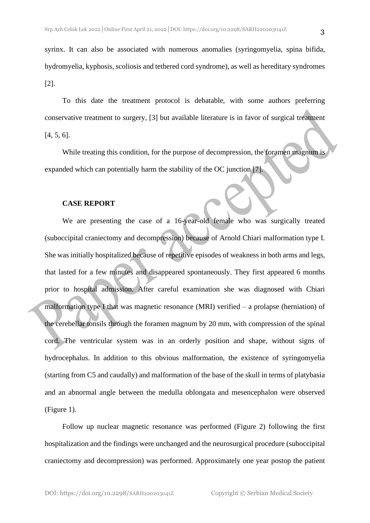syrinx. It can also be associated with numerous anomalies (syringomyelia, spina bifida, hydromyelia, kyphosis, scoliosis and tethered cord syndrome), as well as hereditary syndromes [2].

To this date the treatment protocol is debatable, with some authors preferring conservative treatment to surgery, [3] but available literature is in favor of surgical treatment [4, 5, 6].

While treating this condition, for the purpose of decompression, the foramen magnum is expanded which can potentially harm the stability of the OC junction [7].

#### **CASE REPORT**

We are presenting the case of a 16-year-old female who was surgically treated (suboccipital craniectomy and decompression) because of Arnold Chiari malformation type I. She was initially hospitalized because of repetitive episodes of weakness in both arms and legs, that lasted for a few minutes and disappeared spontaneously. They first appeared 6 months prior to hospital admission. After careful examination she was diagnosed with Chiari malformation type I that was magnetic resonance (MRI) verified – a prolapse (herniation) of the cerebellar tonsils through the foramen magnum by 20 mm, with compression of the spinal cord. The ventricular system was in an orderly position and shape, without signs of hydrocephalus. In addition to this obvious malformation, the existence of syringomyelia (starting from C5 and caudally) and malformation of the base of the skull in terms of platybasia and an abnormal angle between the medulla oblongata and mesencephalon were observed (Figure 1).

Follow up nuclear magnetic resonance was performed (Figure 2) following the first hospitalization and the findings were unchanged and the neurosurgical procedure (suboccipital craniectomy and decompression) was performed. Approximately one year postop the patient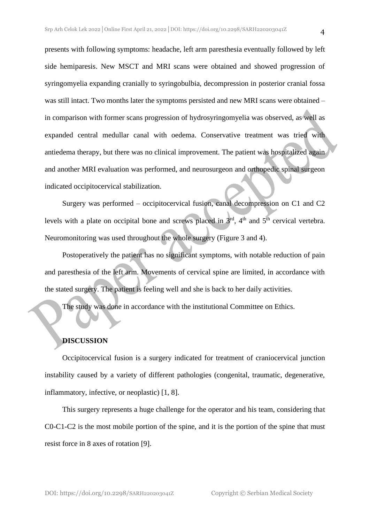presents with following symptoms: headache, left arm paresthesia eventually followed by left side hemiparesis. New MSCT and MRI scans were obtained and showed progression of syringomyelia expanding cranially to syringobulbia, decompression in posterior cranial fossa was still intact. Two months later the symptoms persisted and new MRI scans were obtained – in comparison with former scans progression of hydrosyringomyelia was observed, as well as expanded central medullar canal with oedema. Conservative treatment was tried with antiedema therapy, but there was no clinical improvement. The patient was hospitalized again and another MRI evaluation was performed, and neurosurgeon and orthopedic spinal surgeon indicated occipitocervical stabilization.

Surgery was performed – occipitocervical fusion, canal decompression on C1 and C2 levels with a plate on occipital bone and screws placed in  $3<sup>rd</sup>$ , 4<sup>th</sup> and 5<sup>th</sup> cervical vertebra. Neuromonitoring was used throughout the whole surgery (Figure 3 and 4).

Postoperatively the patient has no significant symptoms, with notable reduction of pain and paresthesia of the left arm. Movements of cervical spine are limited, in accordance with the stated surgery. The patient is feeling well and she is back to her daily activities.

The study was done in accordance with the institutional Committee on Ethics.

#### **DISCUSSION**

Occipitocervical fusion is a surgery indicated for treatment of craniocervical junction instability caused by a variety of different pathologies (congenital, traumatic, degenerative, inflammatory, infective, or neoplastic) [1, 8].

This surgery represents a huge challenge for the operator and his team, considering that C0-C1-C2 is the most mobile portion of the spine, and it is the portion of the spine that must resist force in 8 axes of rotation [9].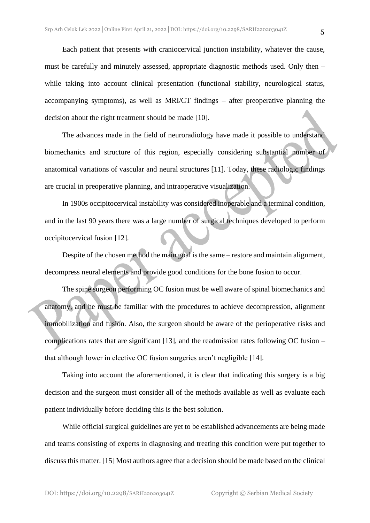Each patient that presents with craniocervical junction instability, whatever the cause, must be carefully and minutely assessed, appropriate diagnostic methods used. Only then – while taking into account clinical presentation (functional stability, neurological status, accompanying symptoms), as well as MRI/CT findings – after preoperative planning the decision about the right treatment should be made [10].

The advances made in the field of neuroradiology have made it possible to understand biomechanics and structure of this region, especially considering substantial number of anatomical variations of vascular and neural structures [11]. Today, these radiologic findings are crucial in preoperative planning, and intraoperative visualization.

In 1900s occipitocervical instability was considered inoperable and a terminal condition, and in the last 90 years there was a large number of surgical techniques developed to perform occipitocervical fusion [12].

Despite of the chosen method the main goal is the same – restore and maintain alignment, decompress neural elements and provide good conditions for the bone fusion to occur.

The spine surgeon performing OC fusion must be well aware of spinal biomechanics and anatomy, and he must be familiar with the procedures to achieve decompression, alignment immobilization and fusion. Also, the surgeon should be aware of the perioperative risks and complications rates that are significant [13], and the readmission rates following OC fusion – that although lower in elective OC fusion surgeries aren't negligible [14].

Taking into account the aforementioned, it is clear that indicating this surgery is a big decision and the surgeon must consider all of the methods available as well as evaluate each patient individually before deciding this is the best solution.

While official surgical guidelines are yet to be established advancements are being made and teams consisting of experts in diagnosing and treating this condition were put together to discuss this matter. [15] Most authors agree that a decision should be made based on the clinical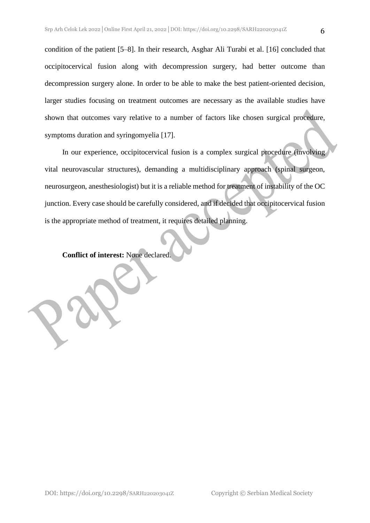condition of the patient [5–8]. In their research, Asghar Ali Turabi et al. [16] concluded that occipitocervical fusion along with decompression surgery, had better outcome than decompression surgery alone. In order to be able to make the best patient-oriented decision, larger studies focusing on treatment outcomes are necessary as the available studies have shown that outcomes vary relative to a number of factors like chosen surgical procedure, symptoms duration and syringomyelia [17].

In our experience, occipitocervical fusion is a complex surgical procedure (involving vital neurovascular structures), demanding a multidisciplinary approach (spinal surgeon, neurosurgeon, anesthesiologist) but it is a reliable method for treatment of instability of the OC junction. Every case should be carefully considered, and if decided that occipitocervical fusion is the appropriate method of treatment, it requires detailed planning.

**Conflict of interest:** None declared.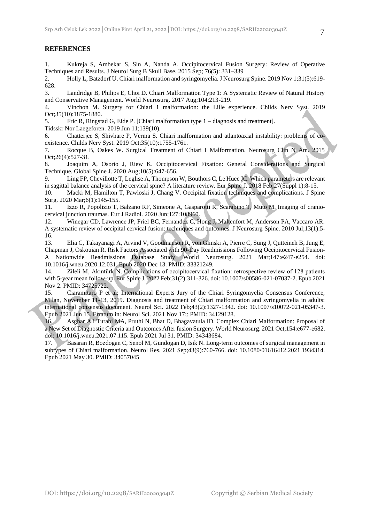#### **REFERENCES**

1. Kukreja S, Ambekar S, Sin A, Nanda A. Occipitocervical Fusion Surgery: Review of Operative Techniques and Results. J Neurol Surg B Skull Base. 2015 Sep; 76(5): 331–339

2. Holly L, Batzdorf U. Chiari malformation and syringomyelia. J Neurosurg Spine. 2019 Nov 1;31(5):619- 628.

3. Landridge B, Philips E, Choi D. Chiari Malformation Type 1: A Systematic Review of Natural History and Conservative Management. World Neurosurg. 2017 Aug;104:213-219.

4. Vinchon M. Surgery for Chiari 1 malformation: the Lille experience. Childs Nerv Syst. 2019 Oct;35(10):1875-1880.

5. Fric R, Ringstad G, Eide P. [Chiari malformation type 1 – diagnosis and treatment].

Tidsskr Nor Laegeforen. 2019 Jun 11;139(10).

6. Chatterjee S, Shivhare P, Verma S. Chiari malformation and atlantoaxial instability: problems of coexistence. Childs Nerv Syst. 2019 Oct;35(10):1755-1761.

7. Rocque B, Oakes W. Surgical Treatment of Chiari I Malformation. Neurosurg Clin N Am. 2015 Oct;26(4):527-31.

8. Joaquim A, Osorio J, Riew K. Occipitocervical Fixation: General Considerations and Surgical Technique. Global Spine J. 2020 Aug;10(5):647-656.

9. Ling FP, Chevillotte T, Leglise A, Thompson W, Bouthors C, Le Huec JC. Which parameters are relevant in sagittal balance analysis of the cervical spine? A literature review. Eur Spine J. 2018 Feb;27(Suppl 1):8-15.

10. Macki M, Hamilton T, Pawloski J, Chang V. Occipital fixation techniques and complications. J Spine Surg. 2020 Mar;6(1):145-155.

11. Izzo R, Popolizio T, Balzano RF, Simeone A, Gasparotti R, Scarabino T, Muto M. Imaging of craniocervical junction traumas. Eur J Radiol. 2020 Jun;127:108960.

12. Winegar CD, Lawrence JP, Friel BC, Fernandez C, Hong J, Maltenfort M, Anderson PA, Vaccaro AR. A systematic review of occipital cervical fusion: techniques and outcomes. J Neurosurg Spine. 2010 Jul;13(1):5- 16.

13. Elia C, Takayanagi A, Arvind V, Goodmanson R, von Glinski A, Pierre C, Sung J, Qutteineh B, Jung E, Chapman J, Oskouian R. Risk Factors Associated with 90-Day Readmissions Following Occipitocervical Fusion-A Nationwide Readmissions Database Study. World Neurosurg. 2021 Mar;147:e247-e254. doi: 10.1016/j.wneu.2020.12.031. Epub 2020 Dec 13. PMID: 33321249.

14. Zileli M, Akıntürk N. Complications of occipitocervical fixation: retrospective review of 128 patients with 5-year mean follow-up. Eur Spine J. 2022 Feb;31(2):311-326. doi: 10.1007/s00586-021-07037-2. Epub 2021 Nov 2. PMID: 34725722.

15. Ciaramitaro P et al; International Experts Jury of the Chiari Syringomyelia Consensus Conference, Milan, November 11-13, 2019. Diagnosis and treatment of Chiari malformation and syringomyelia in adults: international consensus document. Neurol Sci. 2022 Feb;43(2):1327-1342. doi: 10.1007/s10072-021-05347-3. Epub 2021 Jun 15. Erratum in: Neurol Sci. 2021 Nov 17;: PMID: 34129128.

16. Asghar Ali Turabi MA, Pruthi N, Bhat D, Bhagavatula ID. Complex Chiari Malformation: Proposal of a New Set of Diagnostic Criteria and Outcomes After fusion Surgery. World Neurosurg. 2021 Oct;154:e677-e682. doi: 10.1016/j.wneu.2021.07.115. Epub 2021 Jul 31. PMID: 34343684.

17. Basaran R, Bozdogan C, Senol M, Gundogan D, Isik N. Long-term outcomes of surgical management in subtypes of Chiari malformation. Neurol Res. 2021 Sep;43(9):760-766. doi: 10.1080/01616412.2021.1934314. Epub 2021 May 30. PMID: 34057045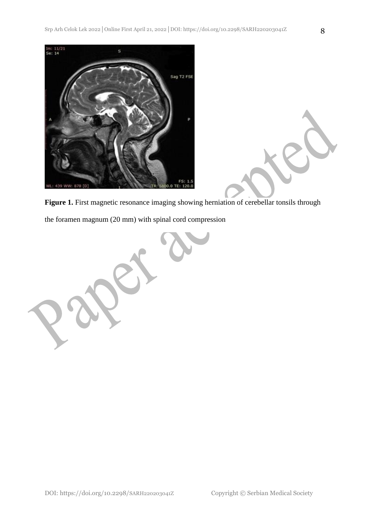

Figure 1. First magnetic resonance imaging showing herniation of cerebellar tonsils through the foramen magnum (20 mm) with spinal cord compression

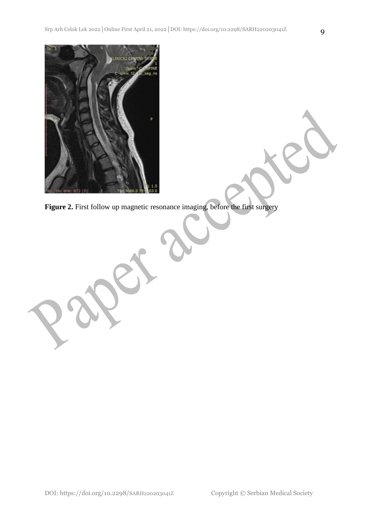

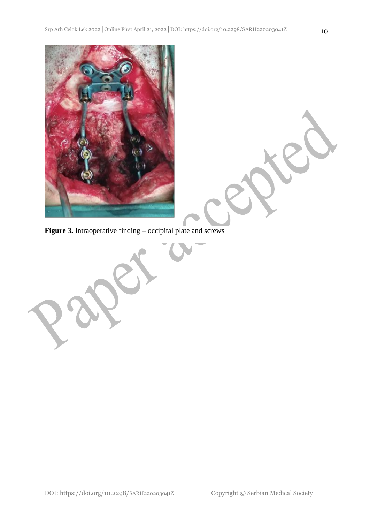

Figure 3. Intraoperative finding – occipital plate and screws

A